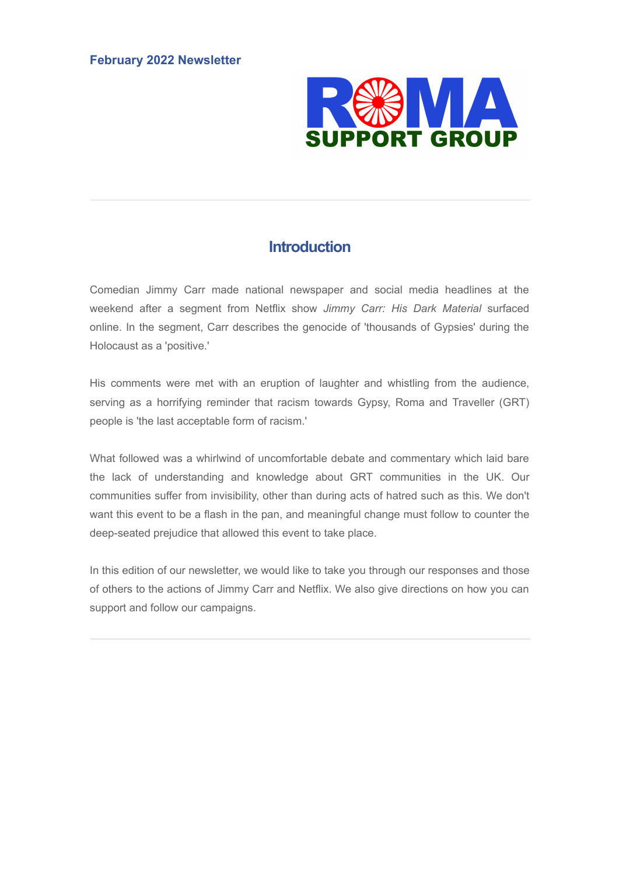

## **Introduction**

Comedian Jimmy Carr made national newspaper and social media headlines at the weekend after a segment from Netflix show *Jimmy Carr: His Dark Material* surfaced online. In the segment, Carr describes the genocide of 'thousands of Gypsies' during the Holocaust as a 'positive.'

His comments were met with an eruption of laughter and whistling from the audience, serving as a horrifying reminder that racism towards Gypsy, Roma and Traveller (GRT) people is 'the last acceptable form of racism.'

What followed was a whirlwind of uncomfortable debate and commentary which laid bare the lack of understanding and knowledge about GRT communities in the UK. Our communities suffer from invisibility, other than during acts of hatred such as this. We don't want this event to be a flash in the pan, and meaningful change must follow to counter the deep-seated prejudice that allowed this event to take place.

In this edition of our newsletter, we would like to take you through our responses and those of others to the actions of Jimmy Carr and Netflix. We also give directions on how you can support and follow our campaigns.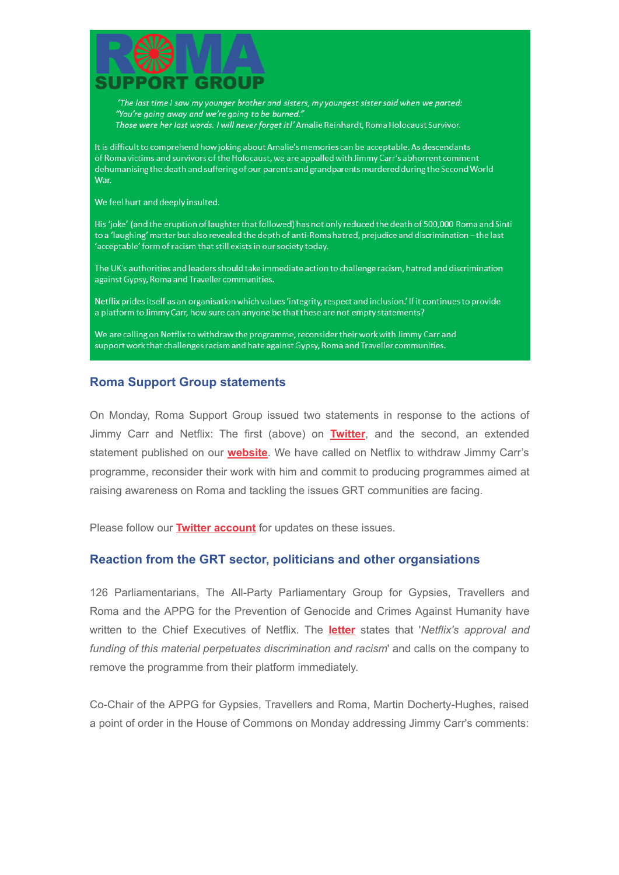

'The last time I saw my younger brother and sisters, my youngest sister said when we parted: "You're going away and we're going to be burned." Those were her last words. I will never forget it!' Amalie Reinhardt, Roma Holocaust Survivor.

It is difficult to comprehend how joking about Amalie's memories can be acceptable. As descendants of Roma victims and survivors of the Holocaust, we are appalled with Jimmy Carr's abhorrent comment dehumanising the death and suffering of our parents and grandparents murdered during the Second World **War** 

We feel hurt and deeply insulted.

His 'joke' (and the eruption of laughter that followed) has not only reduced the death of 500,000 Roma and Sinti to a 'laughing' matter but also revealed the depth of anti-Roma hatred, prejudice and discrimination - the last 'acceptable' form of racism that still exists in our society today.

The UK's authorities and leaders should take immediate action to challenge racism, hatred and discrimination against Gypsy, Roma and Traveller communities.

Netflix prides itself as an organisation which values 'integrity, respect and inclusion.' If it continues to provide a platform to Jimmy Carr, how sure can anyone be that these are not empty statements?

We are calling on Netflix to withdraw the programme, reconsider their work with Jimmy Carr and support work that challenges racism and hate against Gypsy, Roma and Traveller communities.

## **Roma Support Group statements**

On Monday, Roma Support Group issued two statements in response to the actions of Jimmy Carr and Netflix: The first (above) on **[Twitter](https://twitter.com/RomaSupport/status/1490663880389017602)**, and the second, an extended statement published on our **[website](https://www.romasupportgroup.org.uk/news--events/full-statement-on-jimmy-carrs-comments-regarding-gypsy-victims-of-the-holocaust)**. We have called on Netflix to withdraw Jimmy Carr's programme, reconsider their work with him and commit to producing programmes aimed at raising awareness on Roma and tackling the issues GRT communities are facing.

Please follow our **[Twitter account](https://twitter.com/RomaSupport)** for updates on these issues.

## **Reaction from the GRT sector, politicians and other organsiations**

126 Parliamentarians, The All-Party Parliamentary Group for Gypsies, Travellers and Roma and the APPG for the Prevention of Genocide and Crimes Against Humanity have written to the Chief Executives of Netflix. The **[letter](https://twitter.com/APPGGTR/status/1491375739027206146)** states that '*Netflix's approval and funding of this material perpetuates discrimination and racism*' and calls on the company to remove the programme from their platform immediately.

Co-Chair of the APPG for Gypsies, Travellers and Roma, Martin Docherty-Hughes, raised a point of order in the House of Commons on Monday addressing Jimmy Carr's comments: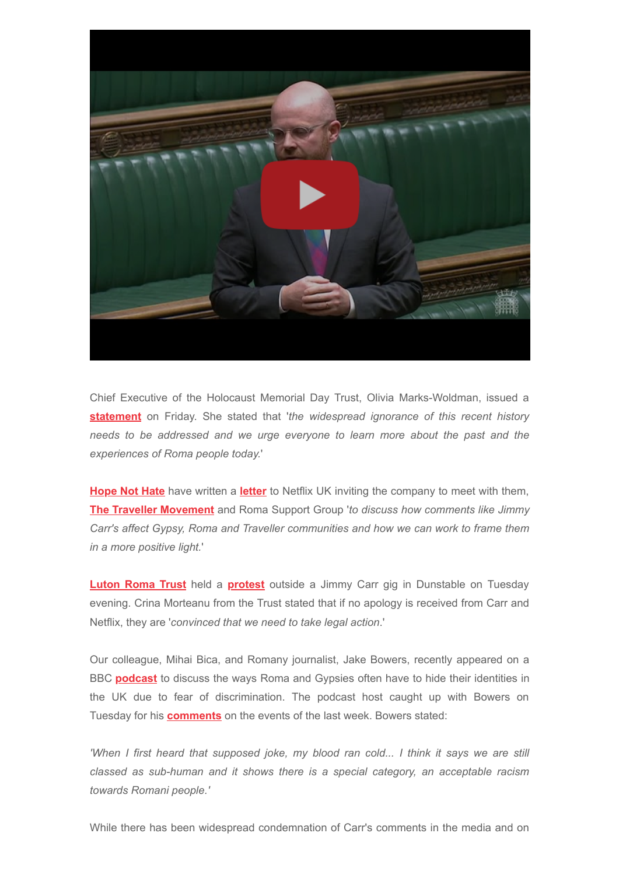

Chief Executive of the Holocaust Memorial Day Trust, Olivia Marks-Woldman, issued a **[statement](https://twitter.com/HMD_UK/status/1489616315920883716)** on Friday. She stated that '*the widespread ignorance of this recent history needs to be addressed and we urge everyone to learn more about the past and the experiences of Roma people today.*'

**[Hope Not Hate](https://hopenothate.org.uk/)** have written a **[letter](https://www.romasupportgroup.org.uk/uploads/9/3/6/8/93687016/hope_not_hate_letter_to_netflix_pdf.pdf)** to Netflix UK inviting the company to meet with them, **[The Traveller Movement](https://travellermovement.org.uk/)** and Roma Support Group '*to discuss how comments like Jimmy Carr's affect Gypsy, Roma and Traveller communities and how we can work to frame them in a more positive light.*'

**[Luton Roma Trust](https://lutonromatrust.org.uk/)** held a **[protest](https://www.bbc.co.uk/news/uk-england-beds-bucks-herts-60310560)** outside a Jimmy Carr gig in Dunstable on Tuesday evening. Crina Morteanu from the Trust stated that if no apology is received from Carr and Netflix, they are '*convinced that we need to take legal action*.'

Our colleague, Mihai Bica, and Romany journalist, Jake Bowers, recently appeared on a BBC **[podcast](https://www.bbc.co.uk/sounds/play/p0bmyx53)** to discuss the ways Roma and Gypsies often have to hide their identities in the UK due to fear of discrimination. The podcast host caught up with Bowers on Tuesday for his **[comments](https://www.bbc.co.uk/sounds/play/p0bmyx53)** on the events of the last week. Bowers stated:

*'When I first heard that supposed joke, my blood ran cold... I think it says we are still classed as sub-human and it shows there is a special category, an acceptable racism towards Romani people.'*

While there has been widespread condemnation of Carr's comments in the media and on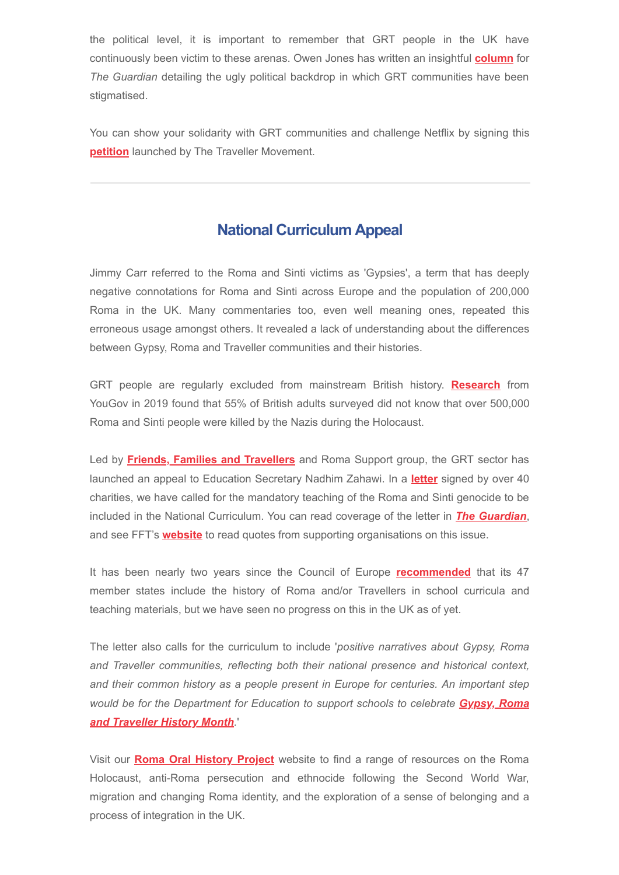the political level, it is important to remember that GRT people in the UK have continuously been victim to these arenas. Owen Jones has written an insightful **[column](https://www.theguardian.com/commentisfree/2022/feb/08/jimmy-carr-bigotry-tory-hypocrisy-joke-hate-roma-netflix?CMP=Share_iOSApp_Other)** for *The Guardian* detailing the ugly political backdrop in which GRT communities have been stigmatised.

You can show your solidarity with GRT communities and challenge Netflix by signing this **[petition](https://actionstorm.org/petitions/the-holocaust-is-not-a-laughing-matter-61fd5396bbebd)** launched by The Traveller Movement.

## **National Curriculum Appeal**

Jimmy Carr referred to the Roma and Sinti victims as 'Gypsies', a term that has deeply negative connotations for Roma and Sinti across Europe and the population of 200,000 Roma in the UK. Many commentaries too, even well meaning ones, repeated this erroneous usage amongst others. It revealed a lack of understanding about the differences between Gypsy, Roma and Traveller communities and their histories.

GRT people are regularly excluded from mainstream British history. **[Research](https://www.gypsy-traveller.org/news/research-findings-55-of-british-people-surveyed-unaware-that-over-500000-roma-and-sinti-people-were-killed-in-the-holocaust/)** from YouGov in 2019 found that 55% of British adults surveyed did not know that over 500,000 Roma and Sinti people were killed by the Nazis during the Holocaust.

Led by **[Friends, Families and Travellers](https://www.gypsy-traveller.org/)** and Roma Support group, the GRT sector has launched an appeal to Education Secretary Nadhim Zahawi. In a **[letter](https://www.gypsy-traveller.org/wp-content/uploads/2022/02/Letter-to-Education-Secretary-Roma-and-Sinti-history-in-Holocaust-education-on-national-curriculum-1.pdf)** signed by over 40 charities, we have called for the mandatory teaching of the Roma and Sinti genocide to be included in the National Curriculum. You can read coverage of the letter in *[The Guardian](https://www.theguardian.com/world/2022/feb/09/add-genocide-of-gypsies-to-national-curriculum-say-charities)*, and see FFT's **[website](https://www.gypsy-traveller.org/news/letter-to-nadhim-zawahi-mp-jimmy-carr-should-not-be-left-to-teach-british-public-about-roma-and-sinti-victims-of-holocaust/)** to read quotes from supporting organisations on this issue.

It has been nearly two years since the Council of Europe **[recommended](https://www.coe.int/en/web/roma-and-travellers/-/schools-should-include-roma-and-traveller-history-in-teaching-curricula-council-of-europe-recommendation)** that its 47 member states include the history of Roma and/or Travellers in school curricula and teaching materials, but we have seen no progress on this in the UK as of yet.

The letter also calls for the curriculum to include '*positive narratives about Gypsy, Roma and Traveller communities, reflecting both their national presence and historical context, and their common history as a people present in Europe for centuries. An important step [would be for the Department for Education to support schools to celebrate](https://www.gypsy-traveller.org/heritage/gypsy-roma-and-traveller-history-month-2022/) Gypsy, Roma and Traveller History Month.*'

Visit our **[Roma Oral History Project](https://www.romaoralhistory.com/)** website to find a range of resources on the Roma Holocaust, anti-Roma persecution and ethnocide following the Second World War, migration and changing Roma identity, and the exploration of a sense of belonging and a process of integration in the UK.